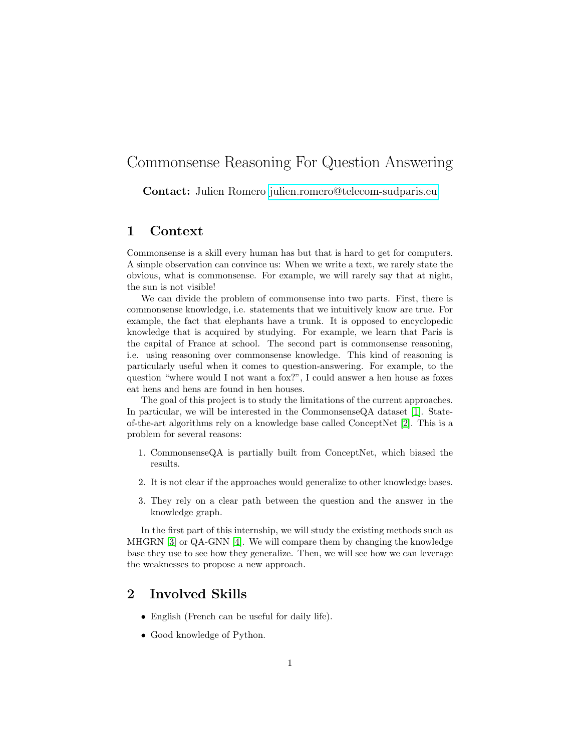# Commonsense Reasoning For Question Answering

Contact: Julien Romero [julien.romero@telecom-sudparis.eu](mailto:julien.romero@telecom-sudparis.eu)

#### 1 Context

Commonsense is a skill every human has but that is hard to get for computers. A simple observation can convince us: When we write a text, we rarely state the obvious, what is commonsense. For example, we will rarely say that at night, the sun is not visible!

We can divide the problem of commonsense into two parts. First, there is commonsense knowledge, i.e. statements that we intuitively know are true. For example, the fact that elephants have a trunk. It is opposed to encyclopedic knowledge that is acquired by studying. For example, we learn that Paris is the capital of France at school. The second part is commonsense reasoning, i.e. using reasoning over commonsense knowledge. This kind of reasoning is particularly useful when it comes to question-answering. For example, to the question "where would I not want a fox?", I could answer a hen house as foxes eat hens and hens are found in hen houses.

The goal of this project is to study the limitations of the current approaches. In particular, we will be interested in the CommonsenseQA dataset [\[1\]](#page-1-0). Stateof-the-art algorithms rely on a knowledge base called ConceptNet [\[2\]](#page-1-1). This is a problem for several reasons:

- 1. CommonsenseQA is partially built from ConceptNet, which biased the results.
- 2. It is not clear if the approaches would generalize to other knowledge bases.
- 3. They rely on a clear path between the question and the answer in the knowledge graph.

In the first part of this internship, we will study the existing methods such as MHGRN [\[3\]](#page-1-2) or QA-GNN [\[4\]](#page-1-3). We will compare them by changing the knowledge base they use to see how they generalize. Then, we will see how we can leverage the weaknesses to propose a new approach.

### 2 Involved Skills

- English (French can be useful for daily life).
- Good knowledge of Python.